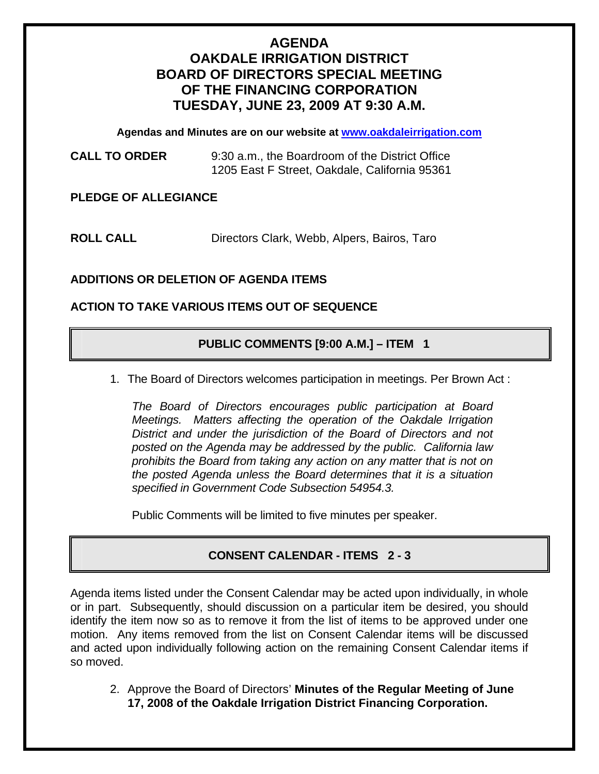# **AGENDA OAKDALE IRRIGATION DISTRICT BOARD OF DIRECTORS SPECIAL MEETING OF THE FINANCING CORPORATION TUESDAY, JUNE 23, 2009 AT 9:30 A.M.**

**Agendas and Minutes are on our website at [www.oakdaleirrigation.com](http://www.oakdaleirrigation.com/)**

**CALL TO ORDER** 9:30 a.m., the Boardroom of the District Office 1205 East F Street, Oakdale, California 95361

#### **PLEDGE OF ALLEGIANCE**

**ROLL CALL** Directors Clark, Webb, Alpers, Bairos, Taro

## **ADDITIONS OR DELETION OF AGENDA ITEMS**

#### **ACTION TO TAKE VARIOUS ITEMS OUT OF SEQUENCE**

#### **PUBLIC COMMENTS [9:00 A.M.] – ITEM 1**

1. The Board of Directors welcomes participation in meetings. Per Brown Act :

*The Board of Directors encourages public participation at Board Meetings. Matters affecting the operation of the Oakdale Irrigation District and under the jurisdiction of the Board of Directors and not posted on the Agenda may be addressed by the public. California law prohibits the Board from taking any action on any matter that is not on the posted Agenda unless the Board determines that it is a situation specified in Government Code Subsection 54954.3.*

Public Comments will be limited to five minutes per speaker.

## **CONSENT CALENDAR - ITEMS 2 - 3**

Agenda items listed under the Consent Calendar may be acted upon individually, in whole or in part. Subsequently, should discussion on a particular item be desired, you should identify the item now so as to remove it from the list of items to be approved under one motion. Any items removed from the list on Consent Calendar items will be discussed and acted upon individually following action on the remaining Consent Calendar items if so moved.

2. Approve the Board of Directors' **Minutes of the Regular Meeting of June 17, 2008 of the Oakdale Irrigation District Financing Corporation.**